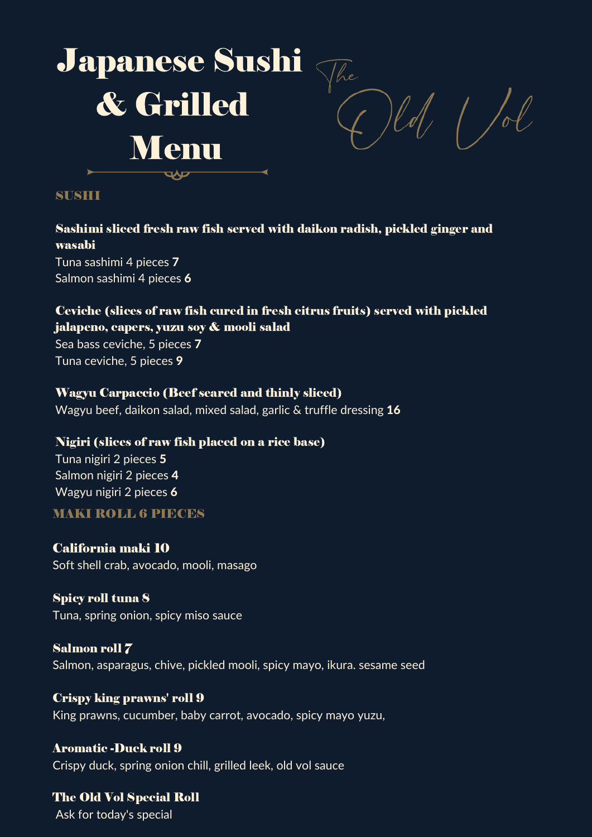

#### SUSHI

# Sashimi sliced fresh raw fish served with daikon radish, pickled ginger and wasabi

Tuna sashimi 4 pieces 7 Salmon sashimi 4 pieces 6

### Ceviche (slices of raw fish cured in fresh citrus fruits) served with pickled jalapeno, capers, yuzu soy & mooli salad

Sea bass ceviche, 5 pieces 7 Tuna ceviche, 5 pieces 9

### Wagyu Carpaccio (Beef seared and thinly sliced)

Wagyu beef, daikon salad, mixed salad, garlic  $\&$  truffle dressing 16

### Nigiri (slices of raw fish placed on a rice base)

Tuna nigiri 2 pieces 5 Salmon nigiri 2 pieces 4 Wagyu nigiri 2 pieces 6

### MAKI ROLL 6 PIECES

California maki 10 Soft shell crab, avocado, mooli, masago

Spicy roll tuna 8 Tuna, spring onion, spicy miso sauce

Salmon roll 7 Salmon, asparagus, chive, pickled mooli, spicy mayo, ikura. sesame seed

Crispy king prawns' roll 9 King prawns, cucumber, baby carrot, avocado, spicy mayo yuzu,

Aromatic -Duck roll 9 Crispy duck, spring onion chill, grilled leek, old vol sauce

The Old Vol Special Roll Ask for today's special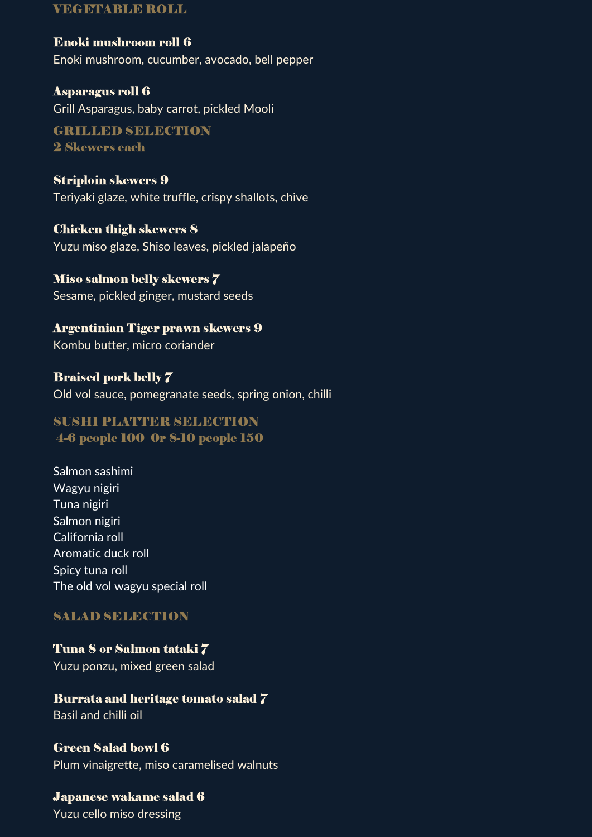#### VEGETABLE ROLL

Enoki mushroom roll 6 Enoki mushroom, cucumber, avocado, bell pepper

Asparagus roll 6 Grill Asparagus, baby carrot, pickled Mooli

GRILLED SELECTION 2 Skewers each

Striploin skewers 9 Teriyaki glaze, white truffle, crispy shallots, chive

Chicken thigh skewers 8 Yuzu miso glaze, Shiso leaves, pickled jalapeño

Miso salmon belly skewers 7 Sesame, pickled ginger, mustard seeds

Argentinian Tiger prawn skewers 9 Kombu butter, micro coriander

Braised pork belly 7 Old vol sauce, pomegranate seeds, spring onion, chilli

## SUSHI PLATTER SELECTION 4-6 people 100 0r 8-10 people 150

Salmon sashimi Wagyu nigiri Tuna nigiri Salmon nigiri California roll Aromatic duck roll Spicy tuna roll The old vol wagyu special roll

## SALAD SELECTION

Tuna 8 or Salmon tataki 7 Yuzu ponzu, mixed green salad

Burrata and heritage tomato salad 7 Basil and chilli oil

Green Salad bowl 6 Plum vinaigrette, miso caramelised walnuts

Japanese wakame salad 6 Yuzu cello miso dressing